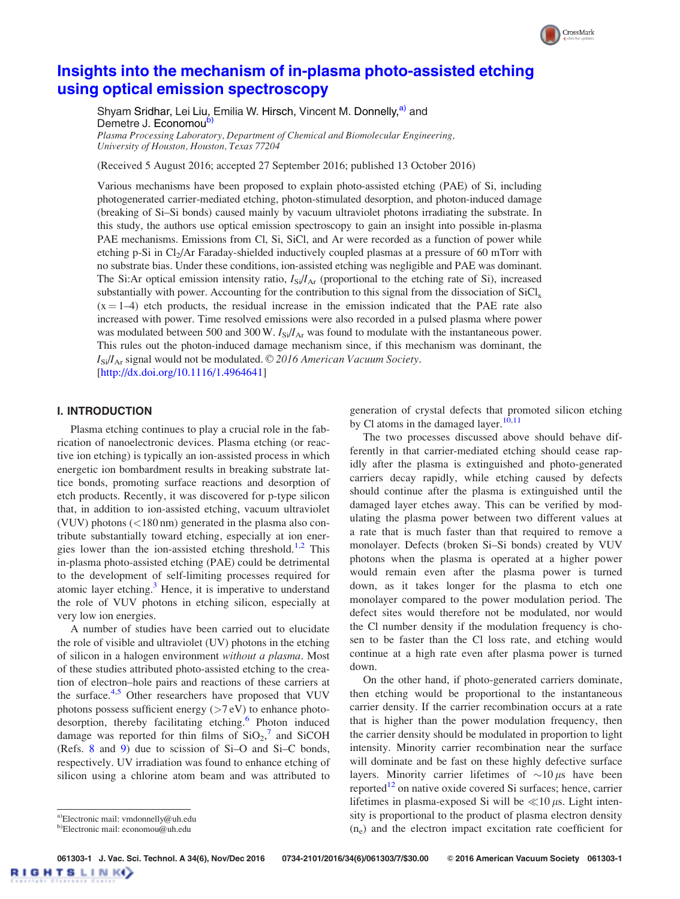# [Insights into the mechanism of in-plasma photo-assisted etching](http://dx.doi.org/10.1116/1.4964641) [using optical emission spectroscopy](http://dx.doi.org/10.1116/1.4964641)

Shyam Sridhar, Lei Liu, Emilia W. Hirsch, Vincent M. Donnelly, a) and Demetre J. Economou<sup>b)</sup> Plasma Processing Laboratory, Department of Chemical and Biomolecular Engineering, University of Houston, Houston, Texas 77204

(Received 5 August 2016; accepted 27 September 2016; published 13 October 2016)

Various mechanisms have been proposed to explain photo-assisted etching (PAE) of Si, including photogenerated carrier-mediated etching, photon-stimulated desorption, and photon-induced damage (breaking of Si–Si bonds) caused mainly by vacuum ultraviolet photons irradiating the substrate. In this study, the authors use optical emission spectroscopy to gain an insight into possible in-plasma PAE mechanisms. Emissions from Cl, Si, SiCl, and Ar were recorded as a function of power while etching p-Si in Cl<sub>2</sub>/Ar Faraday-shielded inductively coupled plasmas at a pressure of 60 mTorr with no substrate bias. Under these conditions, ion-assisted etching was negligible and PAE was dominant. The Si:Ar optical emission intensity ratio,  $I_{\rm Si}/I_{\rm Ar}$  (proportional to the etching rate of Si), increased substantially with power. Accounting for the contribution to this signal from the dissociation of  $\text{SiCl}_x$  $(x = 1-4)$  etch products, the residual increase in the emission indicated that the PAE rate also increased with power. Time resolved emissions were also recorded in a pulsed plasma where power was modulated between 500 and 300 W.  $I_{Si}/I_{Ar}$  was found to modulate with the instantaneous power. This rules out the photon-induced damage mechanism since, if this mechanism was dominant, the  $I_{\text{Si}}/I_{\text{Ar}}$  signal would not be modulated. © 2016 American Vacuum Society. [[http://dx.doi.org/10.1116/1.4964641\]](http://dx.doi.org/10.1116/1.4964641)

# I. INTRODUCTION

Plasma etching continues to play a crucial role in the fabrication of nanoelectronic devices. Plasma etching (or reactive ion etching) is typically an ion-assisted process in which energetic ion bombardment results in breaking substrate lattice bonds, promoting surface reactions and desorption of etch products. Recently, it was discovered for p-type silicon that, in addition to ion-assisted etching, vacuum ultraviolet (VUV) photons (<180 nm) generated in the plasma also contribute substantially toward etching, especially at ion ener-gies lower than the ion-assisted etching threshold.<sup>[1,2](#page-5-0)</sup> This in-plasma photo-assisted etching (PAE) could be detrimental to the development of self-limiting processes required for atomic layer etching. $3$  Hence, it is imperative to understand the role of VUV photons in etching silicon, especially at very low ion energies.

A number of studies have been carried out to elucidate the role of visible and ultraviolet (UV) photons in the etching of silicon in a halogen environment without a plasma. Most of these studies attributed photo-assisted etching to the creation of electron–hole pairs and reactions of these carriers at the surface.<sup>[4,5](#page-5-0)</sup> Other researchers have proposed that VUV photons possess sufficient energy  $(>7 \text{ eV})$  to enhance photo-desorption, thereby facilitating etching.<sup>[6](#page-5-0)</sup> Photon induced damage was reported for thin films of  $SiO_2$ ,<sup>[7](#page-5-0)</sup> and SiCOH (Refs. [8](#page-5-0) and [9\)](#page-6-0) due to scission of Si–O and Si–C bonds, respectively. UV irradiation was found to enhance etching of silicon using a chlorine atom beam and was attributed to generation of crystal defects that promoted silicon etching by Cl atoms in the damaged layer. $10,11$  $10,11$  $10,11$ 

CrossMark

The two processes discussed above should behave differently in that carrier-mediated etching should cease rapidly after the plasma is extinguished and photo-generated carriers decay rapidly, while etching caused by defects should continue after the plasma is extinguished until the damaged layer etches away. This can be verified by modulating the plasma power between two different values at a rate that is much faster than that required to remove a monolayer. Defects (broken Si–Si bonds) created by VUV photons when the plasma is operated at a higher power would remain even after the plasma power is turned down, as it takes longer for the plasma to etch one monolayer compared to the power modulation period. The defect sites would therefore not be modulated, nor would the Cl number density if the modulation frequency is chosen to be faster than the Cl loss rate, and etching would continue at a high rate even after plasma power is turned down.

On the other hand, if photo-generated carriers dominate, then etching would be proportional to the instantaneous carrier density. If the carrier recombination occurs at a rate that is higher than the power modulation frequency, then the carrier density should be modulated in proportion to light intensity. Minority carrier recombination near the surface will dominate and be fast on these highly defective surface layers. Minority carrier lifetimes of  $\sim 10 \,\mu s$  have been reported $12$  on native oxide covered Si surfaces; hence, carrier lifetimes in plasma-exposed Si will be  $\ll 10 \,\mu$ s. Light intensity is proportional to the product of plasma electron density  $(n_e)$  and the electron impact excitation rate coefficient for

061303-1 J. Vac. Sci. Technol. A 34(6), Nov/Dec 2016 0734-2101/2016/34(6)/061303/7/\$30.00 © 2016 American Vacuum Society 061303-1 **IGHTSLINKO** 

a)Electronic mail: [vmdonnelly@uh.edu](mailto:vmdonnelly@uh.edu)

b)Electronic mail: [economou@uh.edu](mailto:economou@uh.edu)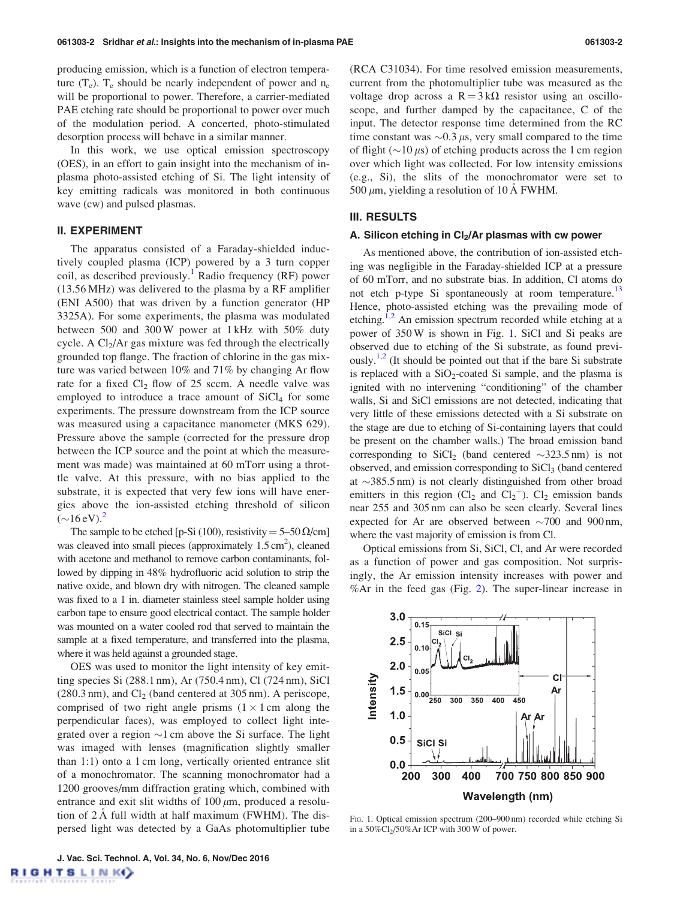producing emission, which is a function of electron temperature  $(T_e)$ .  $T_e$  should be nearly independent of power and  $n_e$ will be proportional to power. Therefore, a carrier-mediated PAE etching rate should be proportional to power over much of the modulation period. A concerted, photo-stimulated desorption process will behave in a similar manner.

In this work, we use optical emission spectroscopy (OES), in an effort to gain insight into the mechanism of inplasma photo-assisted etching of Si. The light intensity of key emitting radicals was monitored in both continuous wave (cw) and pulsed plasmas.

## II. EXPERIMENT

The apparatus consisted of a Faraday-shielded inductively coupled plasma (ICP) powered by a 3 turn copper coil, as described previously.<sup>[1](#page-5-0)</sup> Radio frequency (RF) power (13.56 MHz) was delivered to the plasma by a RF amplifier (ENI A500) that was driven by a function generator (HP 3325A). For some experiments, the plasma was modulated between 500 and 300 W power at 1 kHz with 50% duty cycle. A  $Cl<sub>2</sub>/Ar$  gas mixture was fed through the electrically grounded top flange. The fraction of chlorine in the gas mixture was varied between 10% and 71% by changing Ar flow rate for a fixed  $Cl_2$  flow of 25 sccm. A needle valve was employed to introduce a trace amount of  $SiCl<sub>4</sub>$  for some experiments. The pressure downstream from the ICP source was measured using a capacitance manometer (MKS 629). Pressure above the sample (corrected for the pressure drop between the ICP source and the point at which the measurement was made) was maintained at 60 mTorr using a throttle valve. At this pressure, with no bias applied to the substrate, it is expected that very few ions will have energies above the ion-assisted etching threshold of silicon  $(\sim]16 \text{ eV}$ ).<sup>[2](#page-5-0)</sup>

The sample to be etched [p-Si (100), resistivity =  $5-50 \Omega/cm$ ] was cleaved into small pieces (approximately  $1.5 \text{ cm}^2$ ), cleaned with acetone and methanol to remove carbon contaminants, followed by dipping in 48% hydrofluoric acid solution to strip the native oxide, and blown dry with nitrogen. The cleaned sample was fixed to a 1 in. diameter stainless steel sample holder using carbon tape to ensure good electrical contact. The sample holder was mounted on a water cooled rod that served to maintain the sample at a fixed temperature, and transferred into the plasma, where it was held against a grounded stage.

OES was used to monitor the light intensity of key emitting species Si (288.1 nm), Ar (750.4 nm), Cl (724 nm), SiCl  $(280.3 \text{ nm})$ , and Cl<sub>2</sub> (band centered at 305 nm). A periscope, comprised of two right angle prisms  $(1 \times 1 \text{ cm})$  along the perpendicular faces), was employed to collect light integrated over a region  $\sim$ 1 cm above the Si surface. The light was imaged with lenses (magnification slightly smaller than 1:1) onto a 1 cm long, vertically oriented entrance slit of a monochromator. The scanning monochromator had a 1200 grooves/mm diffraction grating which, combined with entrance and exit slit widths of  $100 \mu m$ , produced a resolution of  $2 \text{ Å}$  full width at half maximum (FWHM). The dispersed light was detected by a GaAs photomultiplier tube (RCA C31034). For time resolved emission measurements, current from the photomultiplier tube was measured as the voltage drop across a  $R = 3k\Omega$  resistor using an oscilloscope, and further damped by the capacitance, C of the input. The detector response time determined from the RC time constant was  $\sim 0.3 \mu s$ , very small compared to the time of flight ( $\sim$ 10  $\mu$ s) of etching products across the 1 cm region over which light was collected. For low intensity emissions (e.g., Si), the slits of the monochromator were set to  $500 \mu m$ , yielding a resolution of 10 A FWHM.

## III. RESULTS

#### A. Silicon etching in  $Cl<sub>2</sub>/Ar$  plasmas with cw power

As mentioned above, the contribution of ion-assisted etching was negligible in the Faraday-shielded ICP at a pressure of 60 mTorr, and no substrate bias. In addition, Cl atoms do not etch p-type Si spontaneously at room temperature.<sup>13</sup> Hence, photo-assisted etching was the prevailing mode of etching.<sup>1,[2](#page-5-0)</sup> An emission spectrum recorded while etching at a power of 350 W is shown in Fig. 1. SiCl and Si peaks are observed due to etching of the Si substrate, as found previ-ously.<sup>[1,2](#page-5-0)</sup> (It should be pointed out that if the bare Si substrate is replaced with a  $SiO<sub>2</sub>$ -coated Si sample, and the plasma is ignited with no intervening "conditioning" of the chamber walls, Si and SiCl emissions are not detected, indicating that very little of these emissions detected with a Si substrate on the stage are due to etching of Si-containing layers that could be present on the chamber walls.) The broad emission band corresponding to  $\text{SiCl}_2$  (band centered  $\sim$ 323.5 nm) is not observed, and emission corresponding to  $SiCl<sub>3</sub>$  (band centered at  $\sim$ 385.5 nm) is not clearly distinguished from other broad emitters in this region  $(Cl_2$  and  $Cl_2^+$ ).  $Cl_2$  emission bands near 255 and 305 nm can also be seen clearly. Several lines expected for Ar are observed between  $\sim$ 700 and 900 nm, where the vast majority of emission is from Cl.

Optical emissions from Si, SiCl, Cl, and Ar were recorded as a function of power and gas composition. Not surprisingly, the Ar emission intensity increases with power and %Ar in the feed gas (Fig. [2\)](#page-2-0). The super-linear increase in



FIG. 1. Optical emission spectrum (200–900 nm) recorded while etching Si in a  $50\%$ Cl<sub>2</sub>/50%Ar ICP with 300 W of power.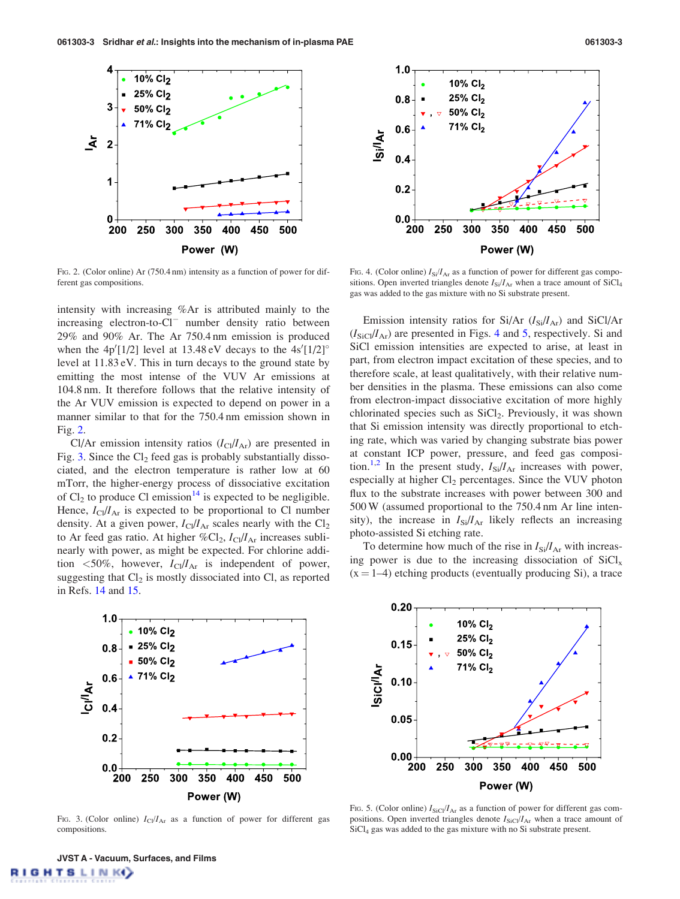<span id="page-2-0"></span>



FIG. 2. (Color online) Ar (750.4 nm) intensity as a function of power for different gas compositions.

intensity with increasing %Ar is attributed mainly to the  $increasing$  electron-to- $Cl^-$  number density ratio between 29% and 90% Ar. The Ar 750.4 nm emission is produced when the  $4p'[1/2]$  level at 13.48 eV decays to the  $4s'[1/2]$ <sup>o</sup> level at 11.83 eV. This in turn decays to the ground state by emitting the most intense of the VUV Ar emissions at 104.8 nm. It therefore follows that the relative intensity of the Ar VUV emission is expected to depend on power in a manner similar to that for the 750.4 nm emission shown in Fig. 2.

Cl/Ar emission intensity ratios  $(I_C/I_{Ar})$  are presented in Fig. 3. Since the  $Cl_2$  feed gas is probably substantially dissociated, and the electron temperature is rather low at 60 mTorr, the higher-energy process of dissociative excitation of  $Cl_2$  to produce Cl emission<sup>[14](#page-6-0)</sup> is expected to be negligible. Hence,  $I_{\text{Cl}}/I_{\text{Ar}}$  is expected to be proportional to Cl number density. At a given power,  $I_{\text{Cl}}/I_{\text{Ar}}$  scales nearly with the  $\text{Cl}_2$ to Ar feed gas ratio. At higher  $\%Cl_2$ ,  $I_{Cl}/I_{Ar}$  increases sublinearly with power, as might be expected. For chlorine addition  $\langle 50\%,$  however,  $I_{\text{Cl}}/I_{\text{Ar}}$  is independent of power, suggesting that  $Cl_2$  is mostly dissociated into Cl, as reported in Refs. [14](#page-6-0) and [15.](#page-6-0)



FIG. 3. (Color online)  $I_{Cl}/I_{Ar}$  as a function of power for different gas compositions.

FIG. 4. (Color online)  $I_{Si}/I_{Ar}$  as a function of power for different gas compositions. Open inverted triangles denote  $I_{\text{Si}}/I_{\text{Ar}}$  when a trace amount of SiCl<sub>4</sub> gas was added to the gas mixture with no Si substrate present.

Emission intensity ratios for Si/Ar  $(I<sub>Si</sub>/I<sub>Ar</sub>)$  and SiCl/Ar  $(I<sub>SiCl</sub>/I<sub>Ar</sub>)$  are presented in Figs. 4 and 5, respectively. Si and SiCl emission intensities are expected to arise, at least in part, from electron impact excitation of these species, and to therefore scale, at least qualitatively, with their relative number densities in the plasma. These emissions can also come from electron-impact dissociative excitation of more highly chlorinated species such as SiCl<sub>2</sub>. Previously, it was shown that Si emission intensity was directly proportional to etching rate, which was varied by changing substrate bias power at constant ICP power, pressure, and feed gas composi-tion.<sup>[1,2](#page-5-0)</sup> In the present study,  $I_{\text{Si}}/I_{\text{Ar}}$  increases with power, especially at higher Cl<sub>2</sub> percentages. Since the VUV photon flux to the substrate increases with power between 300 and 500 W (assumed proportional to the 750.4 nm Ar line intensity), the increase in  $I_{\text{Si}}/I_{\text{Ar}}$  likely reflects an increasing photo-assisted Si etching rate.

To determine how much of the rise in  $I_{\rm Si}/I_{\rm Ar}$  with increasing power is due to the increasing dissociation of  $SiCl<sub>x</sub>$  $(x = 1-4)$  etching products (eventually producing Si), a trace



FIG. 5. (Color online)  $I_{\text{SiCl}}/I_{\text{Ar}}$  as a function of power for different gas compositions. Open inverted triangles denote  $I_{\text{SiCl}}/I_{\text{Ar}}$  when a trace amount of SiCl4 gas was added to the gas mixture with no Si substrate present.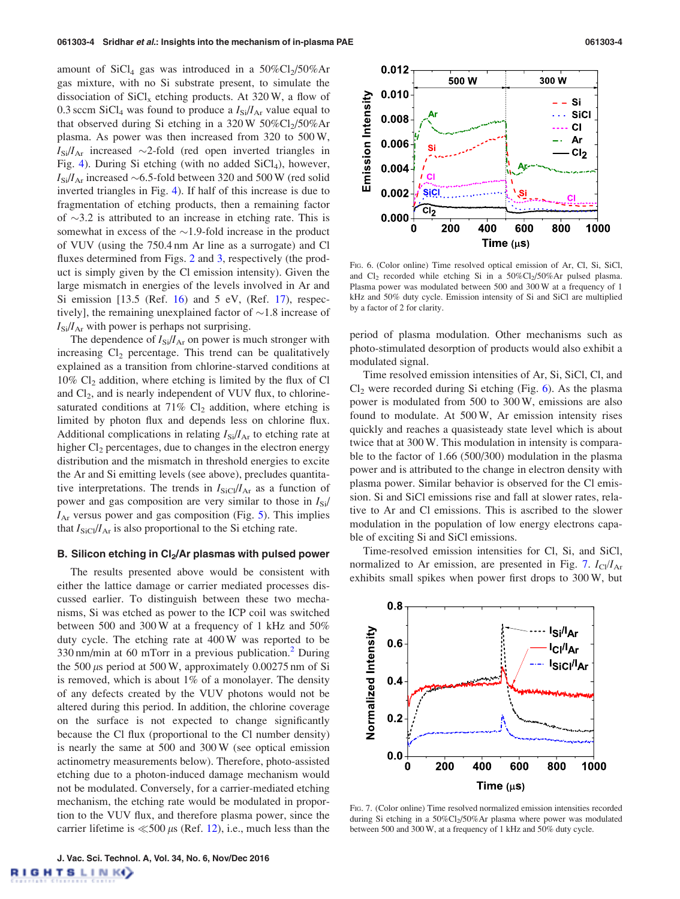<span id="page-3-0"></span>amount of SiCl<sub>4</sub> gas was introduced in a  $50\%$ Cl<sub>2</sub>/50%Ar gas mixture, with no Si substrate present, to simulate the dissociation of  $SiCl<sub>x</sub>$  etching products. At 320 W, a flow of 0.3 sccm SiCl<sub>4</sub> was found to produce a  $I_{\rm Si}/I_{\rm Ar}$  value equal to that observed during Si etching in a  $320 W 50\%Cl<sub>2</sub>/50\%Ar$ plasma. As power was then increased from 320 to 500 W,  $I_{\rm Si}/I_{\rm Ar}$  increased  $\sim$ 2-fold (red open inverted triangles in Fig. [4](#page-2-0)). During Si etching (with no added  $SiCl<sub>4</sub>$ ), however,  $I_{\rm Si}/I_{\rm Ar}$  increased  ${\sim}6.5$ -fold between 320 and 500 W (red solid inverted triangles in Fig. [4\)](#page-2-0). If half of this increase is due to fragmentation of etching products, then a remaining factor of  $\sim$ 3.2 is attributed to an increase in etching rate. This is somewhat in excess of the  $\sim$ 1.9-fold increase in the product of VUV (using the 750.4 nm Ar line as a surrogate) and Cl fluxes determined from Figs. [2](#page-2-0) and [3](#page-2-0), respectively (the product is simply given by the Cl emission intensity). Given the large mismatch in energies of the levels involved in Ar and Si emission  $[13.5 \text{ (Ref. 16)}$  $[13.5 \text{ (Ref. 16)}$  $[13.5 \text{ (Ref. 16)}$  and  $5 \text{ eV}$ ,  $(Ref. 17)$  $(Ref. 17)$  $(Ref. 17)$ , respectively], the remaining unexplained factor of  $\sim$  1.8 increase of  $I_{\rm Si}/I_{\rm Ar}$  with power is perhaps not surprising.

The dependence of  $I_{\text{Si}}/I_{\text{Ar}}$  on power is much stronger with increasing  $Cl<sub>2</sub>$  percentage. This trend can be qualitatively explained as a transition from chlorine-starved conditions at  $10\%$  Cl<sub>2</sub> addition, where etching is limited by the flux of Cl and  $Cl<sub>2</sub>$ , and is nearly independent of VUV flux, to chlorinesaturated conditions at  $71\%$  Cl<sub>2</sub> addition, where etching is limited by photon flux and depends less on chlorine flux. Additional complications in relating  $I_{\text{Si}}/I_{\text{Ar}}$  to etching rate at higher  $Cl<sub>2</sub>$  percentages, due to changes in the electron energy distribution and the mismatch in threshold energies to excite the Ar and Si emitting levels (see above), precludes quantitative interpretations. The trends in  $I_{\text{SiCl}}/I_{\text{Ar}}$  as a function of power and gas composition are very similar to those in  $I_{\text{Si}}/$  $I_{\text{Ar}}$  versus power and gas composition (Fig. [5](#page-2-0)). This implies that  $I_{\text{SiCl}}/I_{\text{Ar}}$  is also proportional to the Si etching rate.

## B. Silicon etching in  $Cl<sub>2</sub>/Ar$  plasmas with pulsed power

The results presented above would be consistent with either the lattice damage or carrier mediated processes discussed earlier. To distinguish between these two mechanisms, Si was etched as power to the ICP coil was switched between 500 and 300 W at a frequency of 1 kHz and 50% duty cycle. The etching rate at 400 W was reported to be  $330 \text{ nm/min}$  at 60 mTorr in a previous publication.<sup>[2](#page-5-0)</sup> During the 500  $\mu$ s period at 500 W, approximately 0.00275 nm of Si is removed, which is about 1% of a monolayer. The density of any defects created by the VUV photons would not be altered during this period. In addition, the chlorine coverage on the surface is not expected to change significantly because the Cl flux (proportional to the Cl number density) is nearly the same at 500 and 300 W (see optical emission actinometry measurements below). Therefore, photo-assisted etching due to a photon-induced damage mechanism would not be modulated. Conversely, for a carrier-mediated etching mechanism, the etching rate would be modulated in proportion to the VUV flux, and therefore plasma power, since the carrier lifetime is  $\ll$  500  $\mu$ s (Ref. [12\)](#page-6-0), i.e., much less than the

J. Vac. Sci. Technol. A, Vol. 34, No. 6, Nov/Dec 2016**IGHTSLINKO** 



FIG. 6. (Color online) Time resolved optical emission of Ar, Cl, Si, SiCl, and  $Cl_2$  recorded while etching Si in a 50% $Cl_2/50%$ Ar pulsed plasma. Plasma power was modulated between 500 and 300 W at a frequency of 1 kHz and 50% duty cycle. Emission intensity of Si and SiCl are multiplied by a factor of 2 for clarity.

period of plasma modulation. Other mechanisms such as photo-stimulated desorption of products would also exhibit a modulated signal.

Time resolved emission intensities of Ar, Si, SiCl, Cl, and  $Cl<sub>2</sub>$  were recorded during Si etching (Fig. 6). As the plasma power is modulated from 500 to 300 W, emissions are also found to modulate. At 500 W, Ar emission intensity rises quickly and reaches a quasisteady state level which is about twice that at 300 W. This modulation in intensity is comparable to the factor of 1.66 (500/300) modulation in the plasma power and is attributed to the change in electron density with plasma power. Similar behavior is observed for the Cl emission. Si and SiCl emissions rise and fall at slower rates, relative to Ar and Cl emissions. This is ascribed to the slower modulation in the population of low energy electrons capable of exciting Si and SiCl emissions.

Time-resolved emission intensities for Cl, Si, and SiCl, normalized to Ar emission, are presented in Fig. 7.  $I_{\text{Cl}}/I_{\text{Ar}}$ exhibits small spikes when power first drops to 300 W, but



FIG. 7. (Color online) Time resolved normalized emission intensities recorded during Si etching in a 50%Cl<sub>2</sub>/50%Ar plasma where power was modulated between 500 and 300 W, at a frequency of 1 kHz and 50% duty cycle.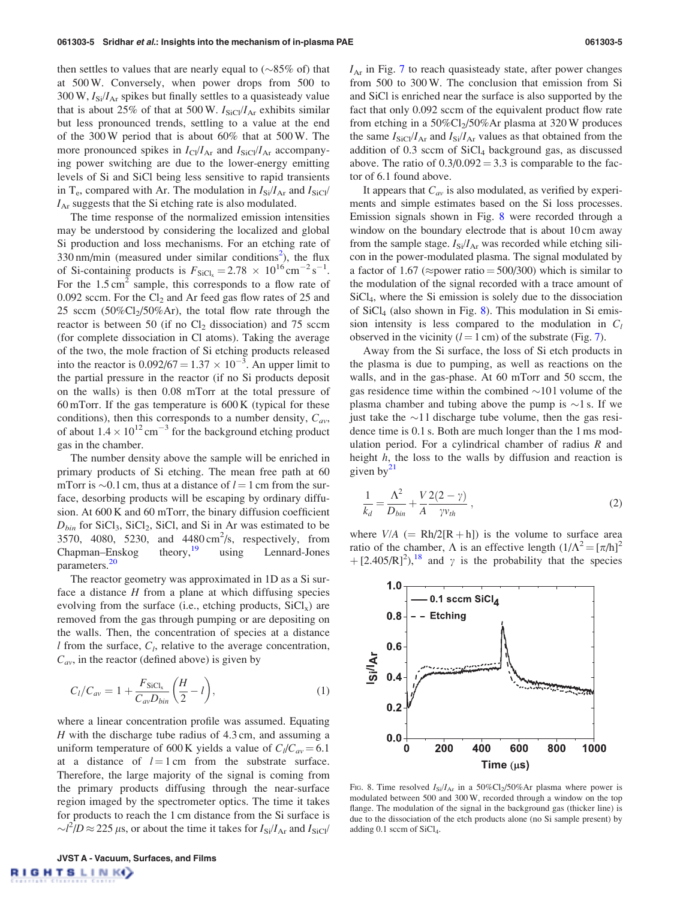<span id="page-4-0"></span>then settles to values that are nearly equal to  $(\sim 85\%$  of) that at 500 W. Conversely, when power drops from 500 to 300 W,  $I_{\text{Si}}/I_{\text{Ar}}$  spikes but finally settles to a quasisteady value that is about 25% of that at 500 W.  $I_{\text{SiCl}}/I_{\text{Ar}}$  exhibits similar but less pronounced trends, settling to a value at the end of the 300 W period that is about 60% that at 500 W. The more pronounced spikes in  $I_{\text{Cl}}/I_{\text{Ar}}$  and  $I_{\text{SiCl}}/I_{\text{Ar}}$  accompanying power switching are due to the lower-energy emitting levels of Si and SiCl being less sensitive to rapid transients in T<sub>e</sub>, compared with Ar. The modulation in  $I_{\rm Si}/I_{\rm Ar}$  and  $I_{\rm SiCl}/I_{\rm Ar}$  $I_{\text{Ar}}$  suggests that the Si etching rate is also modulated.

The time response of the normalized emission intensities may be understood by considering the localized and global Si production and loss mechanisms. For an etching rate of  $330 \text{ nm/min}$  (measured under similar conditions<sup>[2](#page-5-0)</sup>), the flux of Si-containing products is  $F_{\text{SiCl}_x} = 2.78 \times 10^{16} \text{ cm}^{-2} \text{ s}^{-1}$ . For the  $1.5 \text{ cm}^2$  sample, this corresponds to a flow rate of 0.092 sccm. For the  $Cl_2$  and Ar feed gas flow rates of 25 and 25 sccm  $(50\%Cl<sub>2</sub>/50\%Ar)$ , the total flow rate through the reactor is between 50 (if no  $Cl<sub>2</sub>$  dissociation) and 75 sccm (for complete dissociation in Cl atoms). Taking the average of the two, the mole fraction of Si etching products released into the reactor is  $0.092/67 = 1.37 \times 10^{-3}$ . An upper limit to the partial pressure in the reactor (if no Si products deposit on the walls) is then 0.08 mTorr at the total pressure of 60 mTorr. If the gas temperature is 600 K (typical for these conditions), then this corresponds to a number density,  $C_{av}$ , of about  $1.4 \times 10^{12}$  cm<sup>-3</sup> for the background etching product gas in the chamber.

The number density above the sample will be enriched in primary products of Si etching. The mean free path at 60 mTorr is  $\sim$ 0.1 cm, thus at a distance of  $l = 1$  cm from the surface, desorbing products will be escaping by ordinary diffusion. At 600 K and 60 mTorr, the binary diffusion coefficient  $D_{bin}$  for SiCl<sub>3</sub>, SiCl<sub>2</sub>, SiCl, and Si in Ar was estimated to be 3570, 4080, 5230, and  $4480 \text{ cm}^2\text{/s}$ , respectively, from  $Chapman–Enskog$  theory, using Lennard-Jones parameters.<sup>[20](#page-6-0)</sup>

The reactor geometry was approximated in 1D as a Si surface a distance  $H$  from a plane at which diffusing species evolving from the surface (i.e., etching products,  $\text{SiCl}_x$ ) are removed from the gas through pumping or are depositing on the walls. Then, the concentration of species at a distance  $l$  from the surface,  $C_l$ , relative to the average concentration,  $C_{av}$ , in the reactor (defined above) is given by

$$
C_l/C_{av} = 1 + \frac{F_{\text{SiCl}_x}}{C_{av}D_{bin}} \left(\frac{H}{2} - l\right),\tag{1}
$$

where a linear concentration profile was assumed. Equating  $H$  with the discharge tube radius of 4.3 cm, and assuming a uniform temperature of 600 K yields a value of  $C_l/C_{av} = 6.1$ at a distance of  $l = 1$  cm from the substrate surface. Therefore, the large majority of the signal is coming from the primary products diffusing through the near-surface region imaged by the spectrometer optics. The time it takes for products to reach the 1 cm distance from the Si surface is  $\sim l^2/D \approx 225 \,\mu s$ , or about the time it takes for  $I_{Si}/I_{Ar}$  and  $I_{SiCl}/I_{Ar}$ 

 $I_{\text{Ar}}$  in Fig. [7](#page-3-0) to reach quasisteady state, after power changes from 500 to 300 W. The conclusion that emission from Si and SiCl is enriched near the surface is also supported by the fact that only 0.092 sccm of the equivalent product flow rate from etching in a  $50\%$ Cl<sub>2</sub>/50%Ar plasma at 320 W produces the same  $I_{\text{SiCl}}/I_{\text{Ar}}$  and  $I_{\text{Si}}/I_{\text{Ar}}$  values as that obtained from the addition of 0.3 sccm of SiCl<sub>4</sub> background gas, as discussed above. The ratio of  $0.3/0.092 = 3.3$  is comparable to the factor of 6.1 found above.

It appears that  $C_{av}$  is also modulated, as verified by experiments and simple estimates based on the Si loss processes. Emission signals shown in Fig. 8 were recorded through a window on the boundary electrode that is about 10 cm away from the sample stage.  $I_{\text{Si}}/I_{\text{Ar}}$  was recorded while etching silicon in the power-modulated plasma. The signal modulated by a factor of 1.67 ( $\approx$ power ratio = 500/300) which is similar to the modulation of the signal recorded with a trace amount of SiCl4, where the Si emission is solely due to the dissociation of  $SiCl<sub>4</sub>$  (also shown in Fig. 8). This modulation in Si emission intensity is less compared to the modulation in  $C_l$ observed in the vicinity  $(l = 1 \text{ cm})$  of the substrate (Fig. [7](#page-3-0)).

Away from the Si surface, the loss of Si etch products in the plasma is due to pumping, as well as reactions on the walls, and in the gas-phase. At 60 mTorr and 50 sccm, the gas residence time within the combined  $\sim$ 101 volume of the plasma chamber and tubing above the pump is  $\sim$ 1 s. If we just take the  $\sim$ 11 discharge tube volume, then the gas residence time is 0.1 s. Both are much longer than the 1 ms modulation period. For a cylindrical chamber of radius  $R$  and height h, the loss to the walls by diffusion and reaction is given by $2<sup>1</sup>$ 

$$
\frac{1}{k_d} = \frac{\Lambda^2}{D_{bin}} + \frac{V}{A} \frac{2(2-\gamma)}{\gamma v_{th}} , \qquad (2)
$$

where  $V/A$  (= Rh/2[R + h]) is the volume to surface area ratio of the chamber,  $\Lambda$  is an effective length  $(1/\Lambda^2 = [\pi/h]^2$ + [2.405/R]<sup>2</sup>),<sup>[18](#page-6-0)</sup> and  $\gamma$  is the probability that the species



FIG. 8. Time resolved  $I_{\text{Si}}/I_{\text{Ar}}$  in a 50%Cl<sub>2</sub>/50%Ar plasma where power is modulated between 500 and 300 W, recorded through a window on the top flange. The modulation of the signal in the background gas (thicker line) is due to the dissociation of the etch products alone (no Si sample present) by adding 0.1 sccm of SiCl4.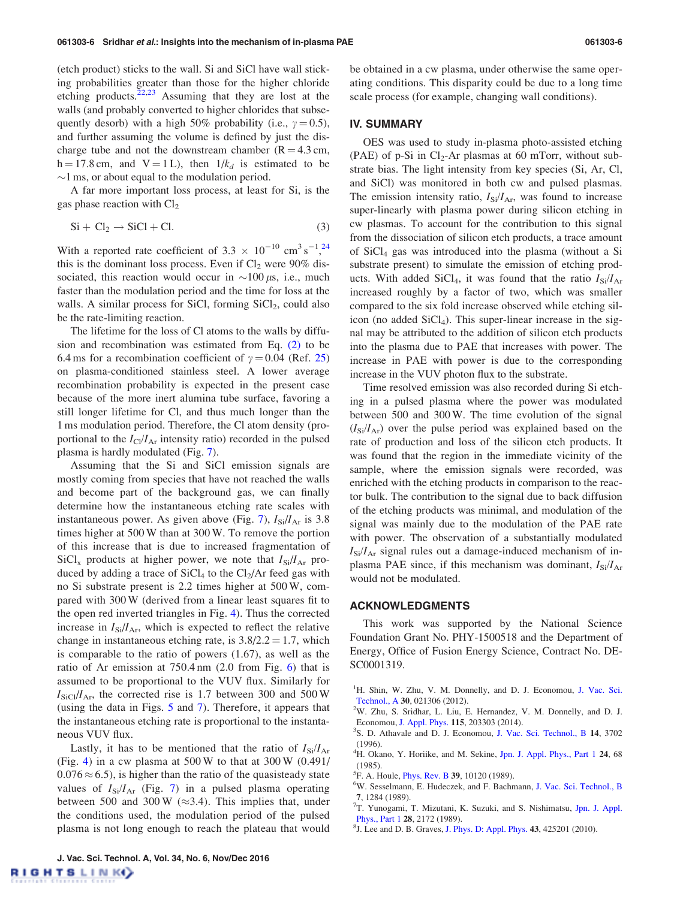<span id="page-5-0"></span>(etch product) sticks to the wall. Si and SiCl have wall sticking probabilities greater than those for the higher chloride etching products.<sup>[22,23](#page-6-0)</sup> Assuming that they are lost at the walls (and probably converted to higher chlorides that subsequently desorb) with a high 50% probability (i.e.,  $\gamma = 0.5$ ), and further assuming the volume is defined by just the discharge tube and not the downstream chamber ( $R = 4.3$  cm, h = 17.8 cm, and V = 1 L), then  $1/k_d$  is estimated to be  $\sim$ 1 ms, or about equal to the modulation period.

A far more important loss process, at least for Si, is the gas phase reaction with  $Cl<sub>2</sub>$ 

$$
Si + Cl_2 \rightarrow SiCl + Cl. \tag{3}
$$

With a reported rate coefficient of 3.3  $\times$  10<sup>-10</sup> cm<sup>3</sup> s<sup>-1</sup>,<sup>[24](#page-6-0)</sup> this is the dominant loss process. Even if  $Cl_2$  were 90% dissociated, this reaction would occur in  $\sim$ 100  $\mu$ s, i.e., much faster than the modulation period and the time for loss at the walls. A similar process for SiCl, forming  $\text{SiCl}_2$ , could also be the rate-limiting reaction.

The lifetime for the loss of Cl atoms to the walls by diffusion and recombination was estimated from Eq. [\(2\)](#page-4-0) to be 6.4 ms for a recombination coefficient of  $\gamma = 0.04$  (Ref. [25\)](#page-6-0) on plasma-conditioned stainless steel. A lower average recombination probability is expected in the present case because of the more inert alumina tube surface, favoring a still longer lifetime for Cl, and thus much longer than the 1 ms modulation period. Therefore, the Cl atom density (proportional to the  $I_{Cl}/I_{Ar}$  intensity ratio) recorded in the pulsed plasma is hardly modulated (Fig. [7](#page-3-0)).

Assuming that the Si and SiCl emission signals are mostly coming from species that have not reached the walls and become part of the background gas, we can finally determine how the instantaneous etching rate scales with instantaneous power. As given above (Fig. [7](#page-3-0)),  $I_{\text{Si}}/I_{\text{Ar}}$  is 3.8 times higher at 500 W than at 300 W. To remove the portion of this increase that is due to increased fragmentation of  $\text{SiCl}_x$  products at higher power, we note that  $I_{\text{Si}}/I_{\text{Ar}}$  produced by adding a trace of  $SiCl<sub>4</sub>$  to the  $Cl<sub>2</sub>/Ar$  feed gas with no Si substrate present is 2.2 times higher at 500 W, compared with 300 W (derived from a linear least squares fit to the open red inverted triangles in Fig. [4\)](#page-2-0). Thus the corrected increase in  $I_{\text{Si}}/I_{\text{Ar}}$ , which is expected to reflect the relative change in instantaneous etching rate, is  $3.8/2.2 = 1.7$ , which is comparable to the ratio of powers (1.67), as well as the ratio of Ar emission at 750.4 nm (2.0 from Fig. [6](#page-3-0)) that is assumed to be proportional to the VUV flux. Similarly for  $I_{\text{SiCl}}/I_{\text{Ar}}$ , the corrected rise is 1.7 between 300 and 500 W (using the data in Figs. [5](#page-2-0) and [7\)](#page-3-0). Therefore, it appears that the instantaneous etching rate is proportional to the instantaneous VUV flux.

Lastly, it has to be mentioned that the ratio of  $I_{\rm Si}/I_{\rm Ar}$ (Fig. [4\)](#page-2-0) in a cw plasma at 500 W to that at 300 W (0.491/  $0.076 \approx 6.5$ , is higher than the ratio of the quasisteady state values of  $I_{\text{Si}}/I_{\text{Ar}}$  (Fig. [7](#page-3-0)) in a pulsed plasma operating between 500 and 300 W ( $\approx$ 3.4). This implies that, under the conditions used, the modulation period of the pulsed plasma is not long enough to reach the plateau that would be obtained in a cw plasma, under otherwise the same operating conditions. This disparity could be due to a long time scale process (for example, changing wall conditions).

### IV. SUMMARY

OES was used to study in-plasma photo-assisted etching (PAE) of p-Si in Cl<sub>2</sub>-Ar plasmas at 60 mTorr, without substrate bias. The light intensity from key species (Si, Ar, Cl, and SiCl) was monitored in both cw and pulsed plasmas. The emission intensity ratio,  $I_{\rm Si}/I_{\rm Ar}$ , was found to increase super-linearly with plasma power during silicon etching in cw plasmas. To account for the contribution to this signal from the dissociation of silicon etch products, a trace amount of  $SiCl<sub>4</sub>$  gas was introduced into the plasma (without a Si substrate present) to simulate the emission of etching products. With added SiCl<sub>4</sub>, it was found that the ratio  $I_{\rm Si}/I_{\rm Ar}$ increased roughly by a factor of two, which was smaller compared to the six fold increase observed while etching silicon (no added  $SiCl<sub>4</sub>$ ). This super-linear increase in the signal may be attributed to the addition of silicon etch products into the plasma due to PAE that increases with power. The increase in PAE with power is due to the corresponding increase in the VUV photon flux to the substrate.

Time resolved emission was also recorded during Si etching in a pulsed plasma where the power was modulated between 500 and 300 W. The time evolution of the signal  $(I_{\rm Si}/I_{\rm Ar})$  over the pulse period was explained based on the rate of production and loss of the silicon etch products. It was found that the region in the immediate vicinity of the sample, where the emission signals were recorded, was enriched with the etching products in comparison to the reactor bulk. The contribution to the signal due to back diffusion of the etching products was minimal, and modulation of the signal was mainly due to the modulation of the PAE rate with power. The observation of a substantially modulated  $I_{\text{Si}}/I_{\text{Ar}}$  signal rules out a damage-induced mechanism of inplasma PAE since, if this mechanism was dominant,  $I_{\rm Si}/I_{\rm Ar}$ would not be modulated.

## ACKNOWLEDGMENTS

This work was supported by the National Science Foundation Grant No. PHY-1500518 and the Department of Energy, Office of Fusion Energy Science, Contract No. DE-SC0001319.

<sup>1</sup>H. Shin, W. Zhu, V. M. Donnelly, and D. J. Economou, [J. Vac. Sci.](http://dx.doi.org/10.1116/1.3681285) [Technol., A](http://dx.doi.org/10.1116/1.3681285) <sup>30</sup>, 021306 (2012). <sup>2</sup>

W. Zhu, S. Sridhar, L. Liu, E. Hernandez, V. M. Donnelly, and D. J. Economou, [J. Appl. Phys.](http://dx.doi.org/10.1063/1.4878895) <sup>115</sup>, 203303 (2014). <sup>3</sup>

- <sup>3</sup>S. D. Athavale and D. J. Economou, [J. Vac. Sci. Technol., B](http://dx.doi.org/10.1116/1.588651) 14, 3702 (1996).
- <sup>4</sup>H. Okano, Y. Horiike, and M. Sekine, [Jpn. J. Appl. Phys., Part 1](http://dx.doi.org/10.1143/JJAP.24.68) 24, 68 (1985).
- ${}^{5}$ F. A. Houle, [Phys. Rev. B](http://dx.doi.org/10.1103/PhysRevB.39.10120) 39, 10120 (1989).<br> ${}^{6}$ W. Sesselmann, E. Hudeczek, and E. Bachr

- 7, 1284 (1989).<br><sup>7</sup>T. Yunogami, T. Mizutani, K. Suzuki, and S. Nishimatsu, [Jpn. J. Appl.](http://dx.doi.org/10.1143/JJAP.28.2172) [Phys., Part 1](http://dx.doi.org/10.1143/JJAP.28.2172) 28, 2172 (1989).
- ${}^{8}$ J. Lee and D. B. Graves, [J. Phys. D: Appl. Phys.](http://dx.doi.org/10.1088/0022-3727/43/42/425201) 43, 425201 (2010).

<sup>&</sup>lt;sup>6</sup>W. Sesselmann, E. Hudeczek, and F. Bachmann, [J. Vac. Sci. Technol., B](http://dx.doi.org/10.1116/1.584474)